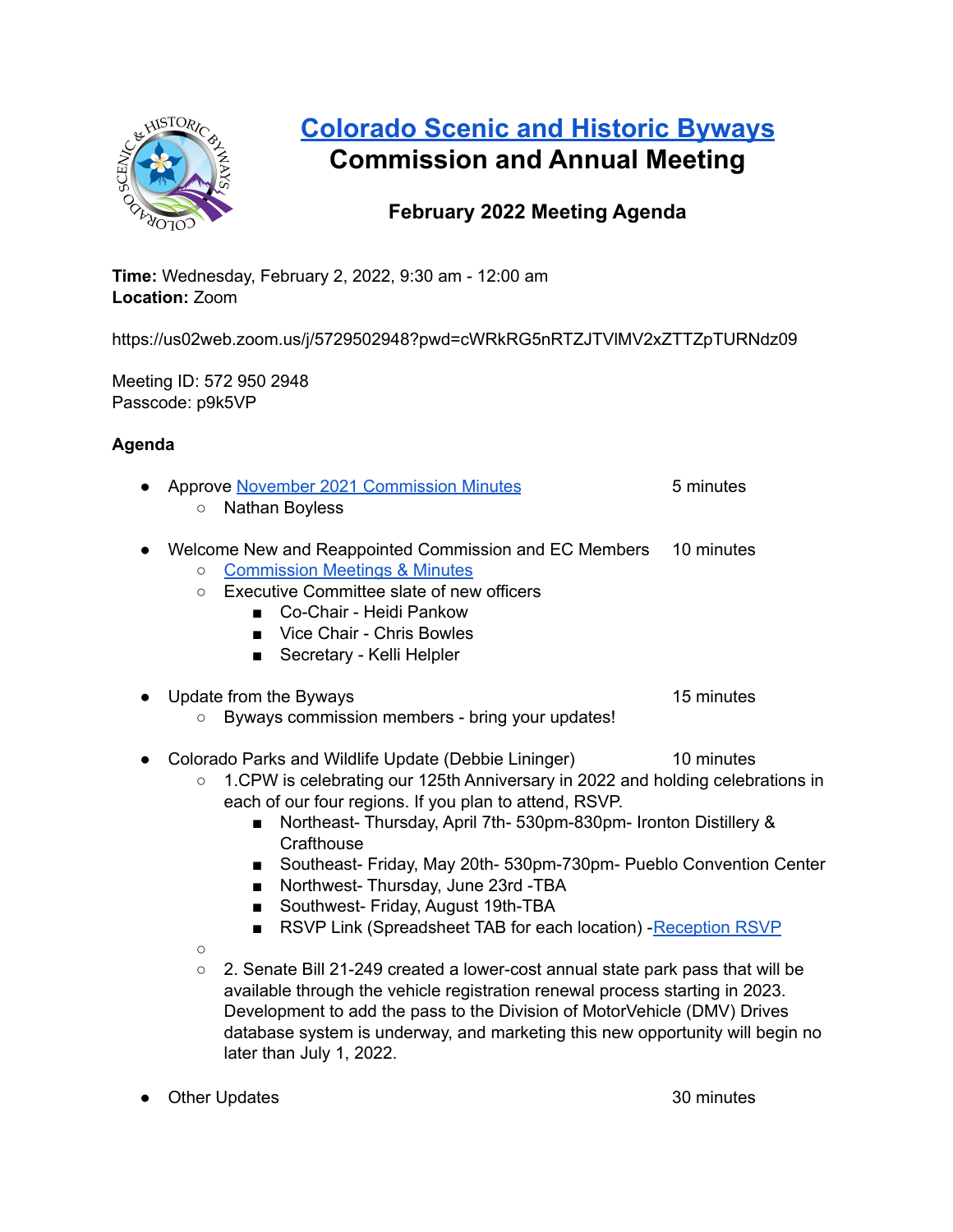

# **[Colorado](https://www.colorado.com/colorados-scenic-historic-byways) Scenic and Historic Byways Commission and Annual Meeting**

## **February 2022 Meeting Agenda**

**Time:** Wednesday, February 2, 2022, 9:30 am - 12:00 am **Location:** Zoom

https://us02web.zoom.us/j/5729502948?pwd=cWRkRG5nRTZJTVlMV2xZTTZpTURNdz09

Meeting ID: 572 950 2948 Passcode: p9k5VP

### **Agenda**

| • Approve November 2021 Commission Minutes              | 5 minutes  |
|---------------------------------------------------------|------------|
| ○ Nathan Boyless                                        |            |
| • Welcome New and Reappointed Commission and EC Members | 10 minutes |

- [Commission](https://www.codot.gov/travel/scenic-byways/bywayscommission) Meetings & Minutes
- Executive Committee slate of new officers
	- Co-Chair Heidi Pankow
	- Vice Chair Chris Bowles
	- Secretary Kelli Helpler

# ● Update from the Byways 15 minutes

- Byways commission members bring your updates!
- Colorado Parks and Wildlife Update (Debbie Lininger) 10 minutes
	- 1.CPW is celebrating our 125th Anniversary in 2022 and holding celebrations in each of our four regions. If you plan to attend, RSVP.
		- Northeast- Thursday, April 7th- 530pm-830pm- Ironton Distillery & **Crafthouse**
		- Southeast- Friday, May 20th- 530pm-730pm- Pueblo Convention Center
		- Northwest- Thursday, June 23rd -TBA
		- Southwest- Friday, August 19th-TBA
		- RSVP Link (Spreadsheet TAB for each location) [Reception](https://docs.google.com/spreadsheets/d/1Y_bfyIdLOGakiJNqokI-NmiY5BSFJqGj6UoGsnlwf3E/edit?usp=sharing) RSVP
	- $\Omega$
	- $\circ$  2. Senate Bill 21-249 created a lower-cost annual state park pass that will be available through the vehicle registration renewal process starting in 2023. Development to add the pass to the Division of MotorVehicle (DMV) Drives database system is underway, and marketing this new opportunity will begin no later than July 1, 2022.
- Other Updates 30 minutes 30 minutes 30 minutes 30 minutes 30 minutes 30 minutes 30 minutes 30 minutes 30 minutes 30 minutes 30 minutes 30 minutes 30 minutes 30 minutes 30 minutes 30 minutes 30 minutes 30 minutes 30 minu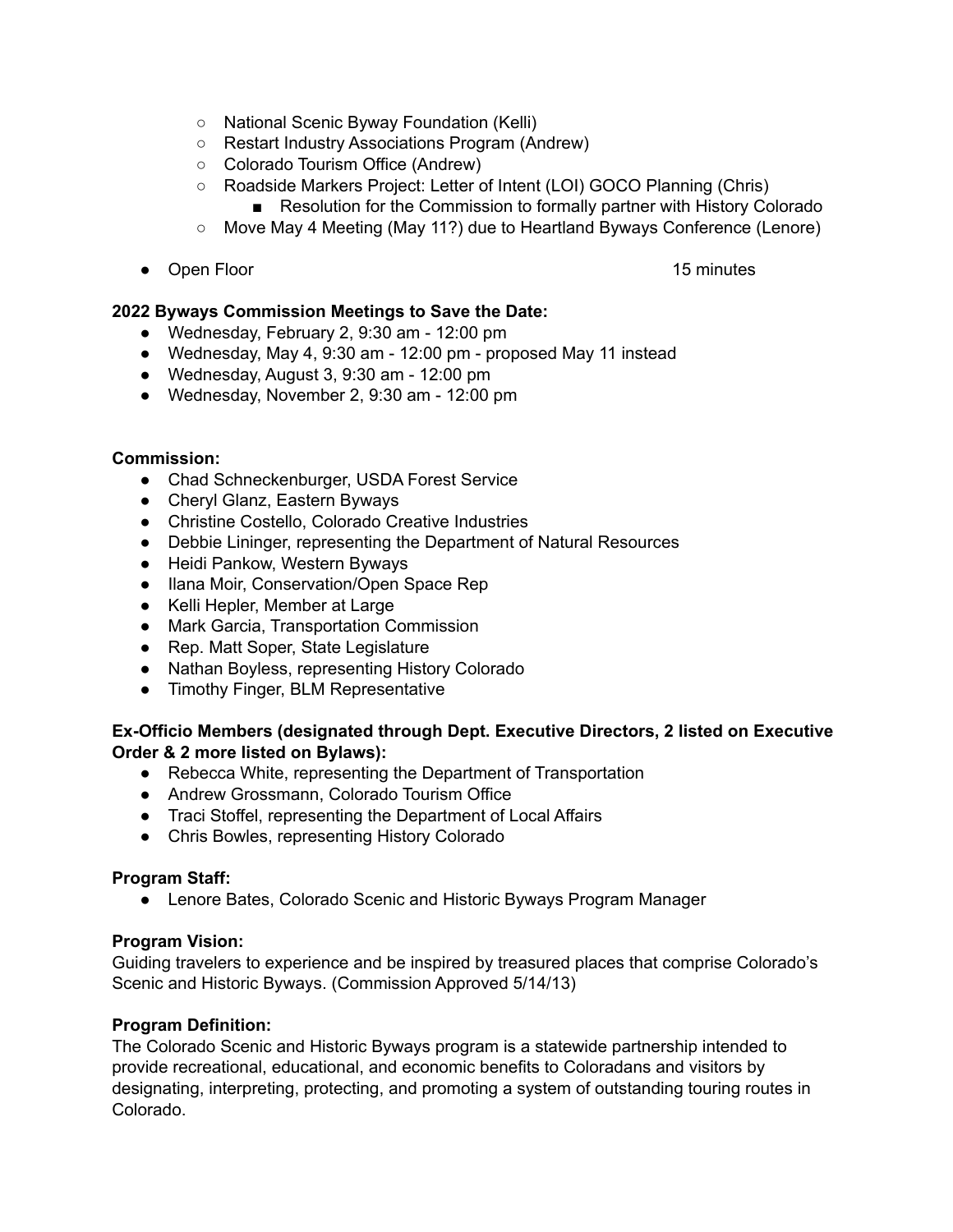- National Scenic Byway Foundation (Kelli)
- Restart Industry Associations Program (Andrew)
- Colorado Tourism Office (Andrew)
- Roadside Markers Project: Letter of Intent (LOI) GOCO Planning (Chris)
	- Resolution for the Commission to formally partner with History Colorado
- Move May 4 Meeting (May 11?) due to Heartland Byways Conference (Lenore)
- Open Floor 15 minutes 15 minutes

#### **2022 Byways Commission Meetings to Save the Date:**

- Wednesday, February 2, 9:30 am 12:00 pm
- Wednesday, May 4, 9:30 am 12:00 pm proposed May 11 instead
- Wednesday, August 3, 9:30 am 12:00 pm
- Wednesday, November 2, 9:30 am 12:00 pm

#### **Commission:**

- Chad Schneckenburger, USDA Forest Service
- Cheryl Glanz, Eastern Byways
- Christine Costello, Colorado Creative Industries
- Debbie Lininger, representing the Department of Natural Resources
- Heidi Pankow, Western Byways
- Ilana Moir, Conservation/Open Space Rep
- Kelli Hepler, Member at Large
- Mark Garcia, Transportation Commission
- Rep. Matt Soper, State Legislature
- Nathan Boyless, representing History Colorado
- Timothy Finger, BLM Representative

#### **Ex-Officio Members (designated through Dept. Executive Directors, 2 listed on Executive Order & 2 more listed on Bylaws):**

- Rebecca White, representing the Department of Transportation
- Andrew Grossmann, Colorado Tourism Office
- Traci Stoffel, representing the Department of Local Affairs
- Chris Bowles, representing History Colorado

#### **Program Staff:**

● Lenore Bates, Colorado Scenic and Historic Byways Program Manager

#### **Program Vision:**

Guiding travelers to experience and be inspired by treasured places that comprise Colorado's Scenic and Historic Byways. (Commission Approved 5/14/13)

#### **Program Definition:**

The Colorado Scenic and Historic Byways program is a statewide partnership intended to provide recreational, educational, and economic benefits to Coloradans and visitors by designating, interpreting, protecting, and promoting a system of outstanding touring routes in Colorado.